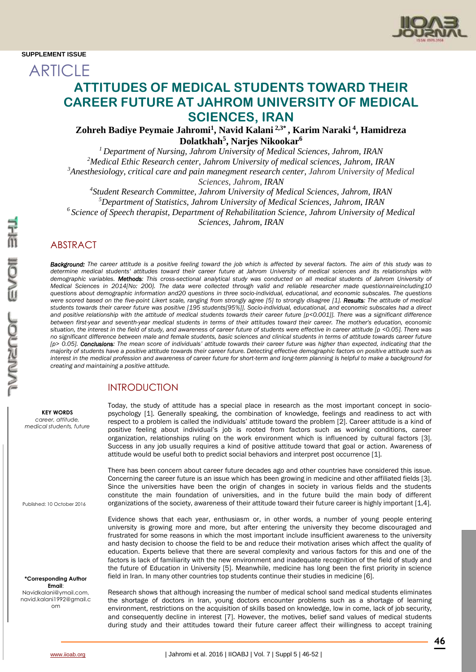**ARTICLE** 



# **ATTITUDES OF MEDICAL STUDENTS TOWARD THEIR CAREER FUTURE AT JAHROM UNIVERSITY OF MEDICAL SCIENCES, IRAN**

**Zohreh Badiye Peymaie Jahromi<sup>1</sup> , Navid Kalani 2,3\* , Karim Naraki <sup>4</sup> , Hamidreza Dolatkhah<sup>5</sup> , Narjes Nikookar<sup>6</sup>**

 *Department of Nursing, Jahrom University of Medical Sciences, Jahrom, IRAN Medical Ethic Research center, Jahrom University of medical sciences, Jahrom, IRAN Anesthesiology, critical care and pain manegment research center, Jahrom University of Medical Sciences, Jahrom, IRAN*

 *Student Research Committee, Jahrom University of Medical Sciences, Jahrom, IRAN Department of Statistics, Jahrom University of Medical Sciences, Jahrom, IRAN Science of Speech therapist, Department of Rehabilitation Science, Jahrom University of Medical Sciences, Jahrom, IRAN*

# ABSTRACT

*Background: The career attitude is a positive feeling toward the job which is affected by several factors. The aim of this study was to determine medical students' attitudes toward their career future at Jahrom University of medical sciences and its relationships with demographic variables. Methods: This cross-sectional analytical study was conducted on all medical students of Jahrom University of Medical Sciences in 2014[No: 200]. The data were collected through valid and reliable researcher made questionnaireincluding10 questions about demographic information and20 questions in three socio-individual, educational, and economic subscales. The questions were scored based on the five-point Likert scale, ranging from strongly agree [5] to strongly disagree [1]. Results: The attitude of medical students towards their career future was positive [195 students[95%]]. Socio-individual, educational, and economic subscales had a direct and positive relationship with the attitude of medical students towards their career future [p<0.001]]. There was a significant difference between first-year and seventh-year medical students in terms of their attitudes toward their career. The mother's education, economic situation, the interest in the field of study, and awareness of career future of students were effective in career attitude [p <0.05]. There was no significant difference between male and female students, basic sciences and clinical students in terms of attitude towards career future [p> 0.05]. Conclusions: The mean score of individuals' attitude towards their career future was higher than expected, indicating that the majority of students have a positive attitude towards their career future. Detecting effective demographic factors on positive attitude such as interest in the medical profession and awareness of career future for short-term and long-term planning is helpful to make a background for creating and maintaining a positive attitude.*

# INTRODUCTION

**KEY WORDS** *career, attitude, medical students, future*

Published: 10 October 2016

**\*Corresponding Author Email**: Navidkalani@ymail.com, navid.kalani1992@gmail.c om

Today, the study of attitude has a special place in research as the most important concept in sociopsychology [1]. Generally speaking, the combination of knowledge, feelings and readiness to act with respect to a problem is called the individuals' attitude toward the problem [2]. Career attitude is a kind of positive feeling about individual's job is rooted from factors such as working conditions, career organization, relationships ruling on the work environment which is influenced by cultural factors [3]. Success in any job usually requires a kind of positive attitude toward that goal or action. Awareness of attitude would be useful both to predict social behaviors and interpret post occurrence [1].

There has been concern about career future decades ago and other countries have considered this issue. Concerning the career future is an issue which has been growing in medicine and other affiliated fields [3]. Since the universities have been the origin of changes in society in various fields and the students constitute the main foundation of universities, and in the future build the main body of different organizations of the society, awareness of their attitude toward their future career is highly important [1,4].

Evidence shows that each year, enthusiasm or, in other words, a number of young people entering university is growing more and more, but after entering the university they become discouraged and frustrated for some reasons in which the most important include insufficient awareness to the university and hasty decision to choose the field to be and reduce their motivation arises which affect the quality of education. Experts believe that there are several complexity and various factors for this and one of the factors is lack of familiarity with the new environment and inadequate recognition of the field of study and the future of Education in University [5]. Meanwhile, medicine has long been the first priority in science field in Iran. In many other countries top students continue their studies in medicine [6].

Research shows that although increasing the number of medical school sand medical students eliminates the shortage of doctors in Iran, young doctors encounter problems such as a shortage of learning environment, restrictions on the acquisition of skills based on knowledge, low in come, lack of job security, and consequently decline in interest [7]. However, the motives, belief sand values of medical students during study and their attitudes toward their future career affect their willingness to accept training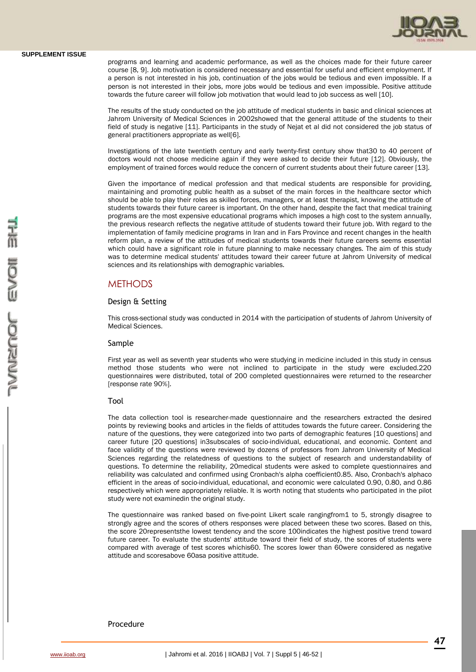

programs and learning and academic performance, as well as the choices made for their future career course [8, 9]. Job motivation is considered necessary and essential for useful and efficient employment. If a person is not interested in his job, continuation of the jobs would be tedious and even impossible. If a person is not interested in their jobs, more jobs would be tedious and even impossible. Positive attitude towards the future career will follow job motivation that would lead to job success as well [10].

The results of the study conducted on the job attitude of medical students in basic and clinical sciences at Jahrom University of Medical Sciences in 2002showed that the general attitude of the students to their field of study is negative [11]. Participants in the study of Nejat et al did not considered the job status of general practitioners appropriate as well[6].

Investigations of the late twentieth century and early twenty-first century show that30 to 40 percent of doctors would not choose medicine again if they were asked to decide their future [12]. Obviously, the employment of trained forces would reduce the concern of current students about their future career [13].

Given the importance of medical profession and that medical students are responsible for providing, maintaining and promoting public health as a subset of the main forces in the healthcare sector which should be able to play their roles as skilled forces, managers, or at least therapist, knowing the attitude of students towards their future career is important. On the other hand, despite the fact that medical training programs are the most expensive educational programs which imposes a high cost to the system annually, the previous research reflects the negative attitude of students toward their future job. With regard to the implementation of family medicine programs in Iran and in Fars Province and recent changes in the health reform plan, a review of the attitudes of medical students towards their future careers seems essential which could have a significant role in future planning to make necessary changes. The aim of this study was to determine medical students' attitudes toward their career future at Jahrom University of medical sciences and its relationships with demographic variables.

### **METHODS**

#### Design & Setting

This cross-sectional study was conducted in 2014 with the participation of students of Jahrom University of Medical Sciences.

#### Sample

First year as well as seventh year students who were studying in medicine included in this study in census method those students who were not inclined to participate in the study were excluded.220 questionnaires were distributed, total of 200 completed questionnaires were returned to the researcher [response rate 90%].

#### Tool

The data collection tool is researcher-made questionnaire and the researchers extracted the desired points by reviewing books and articles in the fields of attitudes towards the future career. Considering the nature of the questions, they were categorized into two parts of demographic features [10 questions] and career future [20 questions] in3subscales of socio-individual, educational, and economic. Content and face validity of the questions were reviewed by dozens of professors from Jahrom University of Medical Sciences regarding the relatedness of questions to the subject of research and understandability of questions. To determine the reliability, 20medical students were asked to complete questionnaires and reliability was calculated and confirmed using Cronbach's alpha coefficient0.85. Also, Cronbach's alphaco efficient in the areas of socio-individual, educational, and economic were calculated 0.90, 0.80, and 0.86 respectively which were appropriately reliable. It is worth noting that students who participated in the pilot study were not examinedin the original study.

The questionnaire was ranked based on five-point Likert scale rangingfrom1 to 5, strongly disagree to strongly agree and the scores of others responses were placed between these two scores. Based on this, the score 20representsthe lowest tendency and the score 100indicates the highest positive trend toward future career. To evaluate the students' attitude toward their field of study, the scores of students were compared with average of test scores whichis60. The scores lower than 60were considered as negative attitude and scoresabove 60asa positive attitude.

### Procedure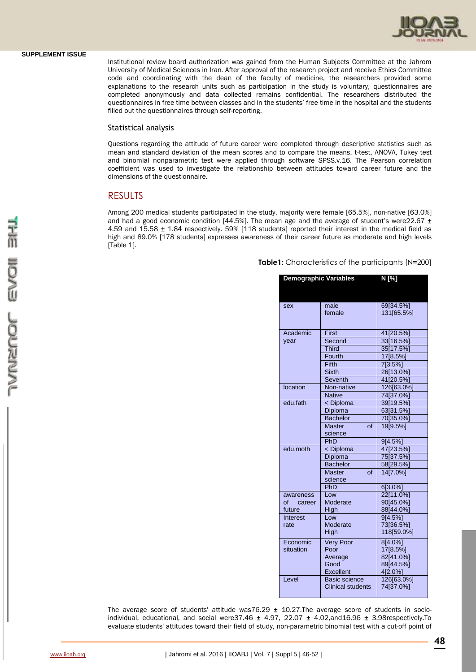

Institutional review board authorization was gained from the Human Subjects Committee at the Jahrom University of Medical Sciences in Iran. After approval of the research project and receive Ethics Committee code and coordinating with the dean of the faculty of medicine, the researchers provided some explanations to the research units such as participation in the study is voluntary, questionnaires are completed anonymously and data collected remains confidential. The researchers distributed the questionnaires in free time between classes and in the students' free time in the hospital and the students filled out the questionnaires through self-reporting.

#### Statistical analysis

Questions regarding the attitude of future career were completed through descriptive statistics such as mean and standard deviation of the mean scores and to compare the means, t-test, ANOVA, Tukey test and binomial nonparametric test were applied through software SPSS.v.16. The Pearson correlation coefficient was used to investigate the relationship between attitudes toward career future and the dimensions of the questionnaire.

# RESULTS

Among 200 medical students participated in the study, majority were female [65.5%], non-native [63.0%] and had a good economic condition [44.5%]. The mean age and the average of student's were22.67  $\pm$ 4.59 and 15.58 ± 1.84 respectively. 59% [118 students] reported their interest in the medical field as high and 89.0% [178 students] expresses awareness of their career future as moderate and high levels [Table 1].

| Table1: Characteristics of the participants [N=200] |  |  |
|-----------------------------------------------------|--|--|
|-----------------------------------------------------|--|--|

| <b>Demographic Variables</b><br>N [%] |                                                                                   |                                                                         |  |  |  |
|---------------------------------------|-----------------------------------------------------------------------------------|-------------------------------------------------------------------------|--|--|--|
| sex                                   | male<br>female                                                                    | 69[34.5%]<br>131[65.5%]                                                 |  |  |  |
| Academic<br>year                      | First<br>Second<br><b>Third</b><br>Fourth<br>Fifth<br><b>Sixth</b>                | 41[20.5%]<br>33[16.5%]<br>35[17.5%]<br>17[8.5%]<br>7[3.5%]<br>26[13.0%] |  |  |  |
| location                              | <b>Seventh</b><br>Non-native<br><b>Native</b>                                     | 41[20.5%]<br>126[63.0%]<br>74[37.0%]                                    |  |  |  |
| edu.fath                              | < Diploma<br>Diploma<br><b>Bachelor</b><br><b>Master</b><br>$\alpha$ f<br>science | 39[19.5%]<br>63[31.5%]<br>70[35.0%]<br>19[9.5%]                         |  |  |  |
| edu.moth                              | PhD<br>< Diploma<br>Diploma<br><b>Bachelor</b><br><b>Master</b><br>of<br>science  | 9[4.5%]<br>47[23.5%]<br>75[37.5%]<br>58[29.5%]<br>14[7.0%]              |  |  |  |
| awareness<br>of career<br>future      | PhD<br>Low<br>Moderate<br>High                                                    | 6[3.0%]<br>22[11.0%]<br>90[45.0%]<br>88[44.0%]                          |  |  |  |
| Interest<br>rate                      | l ow<br>Moderate<br>High                                                          | 9[4.5%]<br>73[36.5%]<br>118[59.0%]                                      |  |  |  |
| Economic<br>situation                 | <b>Very Poor</b><br>Poor<br>Average<br>Good<br>Excellent                          | 8[4.0%]<br>17[8.5%]<br>82[41.0%]<br>89[44.5%]<br>4[2.0%]                |  |  |  |
| I evel                                | Basic science<br>Clinical students                                                | 126[63.0%]<br>74[37.0%]                                                 |  |  |  |

The average score of students' attitude was76.29  $\pm$  10.27. The average score of students in socioindividual, educational, and social were37.46  $\pm$  4.97, 22.07  $\pm$  4.02,and16.96  $\pm$  3.98respectively.To evaluate students' attitudes toward their field of study, non-parametric binomial test with a cut-off point of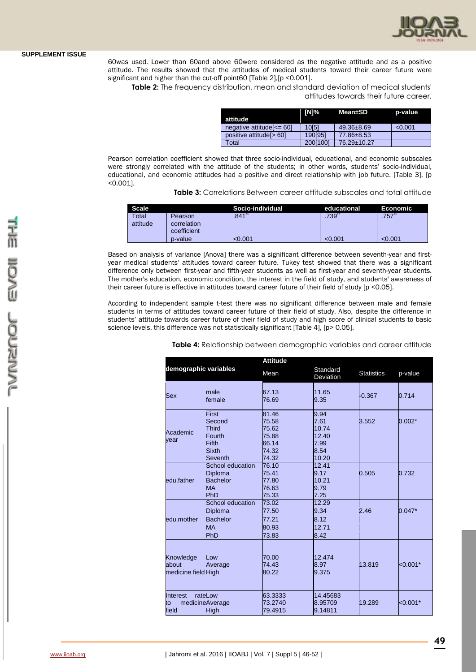

60was used. Lower than 60and above 60were considered as the negative attitude and as a positive attitude. The results showed that the attitudes of medical students toward their career future were significant and higher than the cut-off point60 [Table 2],[p <0.001].

**Table 2:** The frequency distribution, mean and standard deviation of medical students' attitudes towards their future career.

|                              | [N]%     | Mean±SD          | p-value |
|------------------------------|----------|------------------|---------|
| attitude                     |          |                  |         |
| negative attitude $\leq$ 60] | 10[5]    | $49.36 \pm 8.69$ | < 0.001 |
| positive attitude [> 60]     | 190[95]  | 77.86±8.53       |         |
| `otal                        | 200[100] | 76.29±10.27      |         |

Pearson correlation coefficient showed that three socio-individual, educational, and economic subscales were strongly correlated with the attitude of the students; in other words, students' socio-individual, educational, and economic attitudes had a positive and direct relationship with job future. [Table 3], [p <0.001].

|  | <b>Table 3:</b> Correlations Between career attitude subscales and total attitude |  |  |  |  |
|--|-----------------------------------------------------------------------------------|--|--|--|--|
|--|-----------------------------------------------------------------------------------|--|--|--|--|

| <b>Scale</b> |             | Socio-individual | educational | Economic |
|--------------|-------------|------------------|-------------|----------|
| Total        | Pearson     | .841゛            | .739        | .757     |
| attitude     | correlation |                  |             |          |
|              | coefficient |                  |             |          |
|              | p-value     | < 0.001          | < 0.001     | < 0.001  |

Based on analysis of variance [Anova] there was a significant difference between seventh-year and firstyear medical students' attitudes toward career future. Tukey test showed that there was a significant difference only between first-year and fifth-year students as well as first-year and seventh-year students. The mother's education, economic condition, the interest in the field of study, and students' awareness of their career future is effective in attitudes toward career future of their field of study [p <0.05].

According to independent sample t-test there was no significant difference between male and female students in terms of attitudes toward career future of their field of study. Also, despite the difference in students' attitude towards career future of their field of study and high score of clinical students to basic science levels, this difference was not statistically significant [Table 4], [p> 0.05].

|                                           |                                                                               | <b>Attitude</b>                                             |                                                         |                   |            |  |
|-------------------------------------------|-------------------------------------------------------------------------------|-------------------------------------------------------------|---------------------------------------------------------|-------------------|------------|--|
| demographic variables                     |                                                                               | Mean                                                        | Standard<br>Deviation                                   | <b>Statistics</b> | p-value    |  |
| Sex                                       | male<br>female                                                                | 67.13<br>76.69                                              | 11.65<br>9.35                                           | $-0.367$          | 0.714      |  |
| Academic<br>year                          | First<br>Second<br><b>Third</b><br>Fourth<br>Fifth<br><b>Sixth</b><br>Seventh | 81.46<br>75.58<br>75.62<br>75.88<br>66.14<br>74.32<br>74.32 | 9.94<br>7.61<br>10.74<br>12.40<br>7.99<br>8.54<br>10.20 | 3.552             | $0.002*$   |  |
| edu.father                                | School education<br>Diploma<br><b>Bachelor</b><br><b>MA</b><br>PhD            | 76.10<br>75.41<br>77.80<br>76.63<br>75.33                   | 12.41<br>9.17<br>10.21<br>9.79<br>7.25                  | 0.505             | 0.732      |  |
| edu.mother                                | School education<br>Diploma<br><b>Bachelor</b><br><b>MA</b><br>PhD            | 73.02<br>77.50<br>77.21<br>80.93<br>73.83                   | 12.29<br>9.34<br>8.12<br>12.71<br>8.42                  | 2.46              | $0.047*$   |  |
| Knowledge<br>about<br>medicine field High | Low<br>Average                                                                | 70.00<br>74.43<br>80.22                                     | 12.474<br>8.97<br>9.375                                 | 13.819            | $< 0.001*$ |  |
| Interest<br>to<br>field                   | rateLow<br>medicineAverage<br>High                                            | 63.3333<br>73.2740<br>79.4915                               | 14.45683<br>8.95709<br>9.14811                          | 19.289            | $< 0.001*$ |  |

**Table 4:** Relationship between demographic variables and career attitude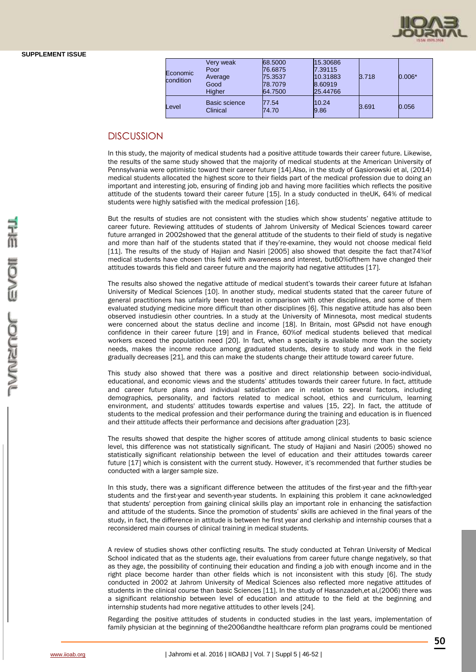| Economic<br>condition | Very weak<br>Poor<br>Average<br>Good<br>Higher | 68.5000<br>76.6875<br>75.3537<br>78.7079<br>64.7500 | 15.30686<br>7.39115<br>10.31883<br>8.60919<br>25.44766 | 3.718 | $0.006*$ |
|-----------------------|------------------------------------------------|-----------------------------------------------------|--------------------------------------------------------|-------|----------|
| Level                 | Basic science<br>Clinical                      | 77.54<br>74.70                                      | 10.24<br>9.86                                          | 3.691 | 0.056    |

# DISCUSSION

In this study, the majority of medical students had a positive attitude towards their career future. Likewise, the results of the same study showed that the majority of medical students at the American University of Pennsylvania were optimistic toward their career future [14].Also, in the study of Gąsiorowski et al, (2014) medical students allocated the highest score to their fields part of the medical profession due to doing an important and interesting job, ensuring of finding job and having more facilities which reflects the positive attitude of the students toward their career future [15]. In a study conducted in theUK, 64% of medical students were highly satisfied with the medical profession [16].

But the results of studies are not consistent with the studies which show students' negative attitude to career future. Reviewing attitudes of students of Jahrom University of Medical Sciences toward career future arranged in 2002showed that the general attitude of the students to their field of study is negative and more than half of the students stated that if they're-examine, they would not choose medical field [11]. The results of the study of Hajian and Nasiri [2005] also showed that despite the fact that74%of medical students have chosen this field with awareness and interest, but60%ofthem have changed their attitudes towards this field and career future and the majority had negative attitudes [17].

The results also showed the negative attitude of medical student's towards their career future at Isfahan University of Medical Sciences [10]. In another study, medical students stated that the career future of general practitioners has unfairly been treated in comparison with other disciplines, and some of them evaluated studying medicine more difficult than other disciplines [6]. This negative attitude has also been observed instudiesin other countries. In a study at the University of Minnesota, most medical students were concerned about the status decline and income [18]. In Britain, most GPsdid not have enough confidence in their career future [19] and in France, 60%of medical students believed that medical workers exceed the population need [20]. In fact, when a specialty is available more than the society needs, makes the income reduce among graduated students, desire to study and work in the field gradually decreases [21], and this can make the students change their attitude toward career future.

This study also showed that there was a positive and direct relationship between socio-individual, educational, and economic views and the students' attitudes towards their career future. In fact, attitude and career future plans and individual satisfaction are in relation to several factors, including demographics, personality, and factors related to medical school, ethics and curriculum, learning environment, and students' attitudes towards expertise and values [15, 22]. In fact, the attitude of students to the medical profession and their performance during the training and education is in fluenced and their attitude affects their performance and decisions after graduation [23].

The results showed that despite the higher scores of attitude among clinical students to basic science level, this difference was not statistically significant. The study of Hajiani and Nasiri (2005) showed no statistically significant relationship between the level of education and their attitudes towards career future [17] which is consistent with the current study. However, it's recommended that further studies be conducted with a larger sample size.

In this study, there was a significant difference between the attitudes of the first-year and the fifth-year students and the first-year and seventh-year students. In explaining this problem it cane acknowledged that students' perception from gaining clinical skills play an important role in enhancing the satisfaction and attitude of the students. Since the promotion of students' skills are achieved in the final years of the study, in fact, the difference in attitude is between he first year and clerkship and internship courses that a reconsidered main courses of clinical training in medical students.

A review of studies shows other conflicting results. The study conducted at Tehran University of Medical School indicated that as the students age, their evaluations from career future change negatively, so that as they age, the possibility of continuing their education and finding a job with enough income and in the right place become harder than other fields which is not inconsistent with this study [6]. The study conducted in 2002 at Jahrom University of Medical Sciences also reflected more negative attitudes of students in the clinical course than basic Sciences [11]. In the study of Hasanzadeh,et al,(2006) there was a significant relationship between level of education and attitude to the field at the beginning and internship students had more negative attitudes to other levels [24].

Regarding the positive attitudes of students in conducted studies in the last years, implementation of family physician at the beginning of the2006andthe healthcare reform plan programs could be mentioned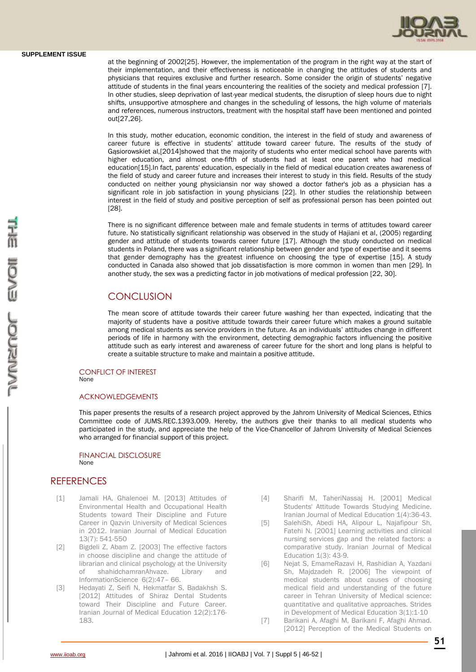at the beginning of 2002[25]. However, the implementation of the program in the right way at the start of their implementation, and their effectiveness is noticeable in changing the attitudes of students and physicians that requires exclusive and further research. Some consider the origin of students' negative attitude of students in the final years encountering the realities of the society and medical profession [7]. In other studies, sleep deprivation of last-year medical students, the disruption of sleep hours due to night shifts, unsupportive atmosphere and changes in the scheduling of lessons, the high volume of materials and references, numerous instructors, treatment with the hospital staff have been mentioned and pointed out[27,26].

In this study, mother education, economic condition, the interest in the field of study and awareness of career future is effective in students' attitude toward career future. The results of the study of Gąsiorowskiet al,[2014]showed that the majority of students who enter medical school have parents with higher education, and almost one-fifth of students had at least one parent who had medical education[15].In fact, parents' education, especially in the field of medical education creates awareness of the field of study and career future and increases their interest to study in this field. Results of the study conducted on neither young physiciansin nor way showed a doctor father's job as a physician has a significant role in job satisfaction in young physicians [22]. In other studies the relationship between interest in the field of study and positive perception of self as professional person has been pointed out [28].

There is no significant difference between male and female students in terms of attitudes toward career future. No statistically significant relationship was observed in the study of Hajiani et al, (2005) regarding gender and attitude of students towards career future [17]. Although the study conducted on medical students in Poland, there was a significant relationship between gender and type of expertise and it seems that gender demography has the greatest influence on choosing the type of expertise [15]. A study conducted in Canada also showed that job dissatisfaction is more common in women than men [29]. In another study, the sex was a predicting factor in job motivations of medical profession [22, 30].

# **CONCLUSION**

The mean score of attitude towards their career future washing her than expected, indicating that the majority of students have a positive attitude towards their career future which makes a ground suitable among medical students as service providers in the future. As an individuals' attitudes change in different periods of life in harmony with the environment, detecting demographic factors influencing the positive attitude such as early interest and awareness of career future for the short and long plans is helpful to create a suitable structure to make and maintain a positive attitude.

#### CONFLICT OF INTEREST None

#### ACKNOWLEDGEMENTS

This paper presents the results of a research project approved by the Jahrom University of Medical Sciences, Ethics Committee code of JUMS.REC.1393.009. Hereby, the authors give their thanks to all medical students who participated in the study, and appreciate the help of the Vice-Chancellor of Jahrom University of Medical Sciences who arranged for financial support of this project.

#### FINANCIAL DISCLOSURE None

## **REFERENCES**

- [1] Jamali HA, Ghalenoei M. [2013] Attitudes of Environmental Health and Occupational Health Students toward Their Discipline and Future Career in Qazvin University of Medical Sciences in 2012. Iranian Journal of Medical Education 13(7): 541-550
- [2] Bigdeli Z, Abam Z. [2003] The effective factors in choose discipline and change the attitude of librarian and clinical psychology at the University of shahidchamranAhvaze. Library and InformationScience 6(2):47– 66.
- [3] Hedayati Z, Seifi N, Hekmatfar S, Badakhsh S. [2012] Attitudes of Shiraz Dental Students toward Their Discipline and Future Career. Iranian Journal of Medical Education 12(2):176- 183.
- [4] Sharifi M, TaheriNassaj H. [2001] Medical Students' Attitude Towards Studying Medicine. Iranian Journal of Medical Education 1(4):36-43.
- [5] SalehiSh, Abedi HA, Alipour L, Najafipour Sh, Fatehi N. [2001] Learning activities and clinical nursing services gap and the related factors: a comparative study. Iranian Journal of Medical Education 1(3): 43-9.
- [6] Nejat S, EmameRazavi H, Rashidian A, Yazdani Sh, Majdzadeh R. [2006] The viewpoint of medical students about causes of choosing medical field and understanding of the future career in Tehran University of Medical science: quantitative and qualitative approaches. Strides in Development of Medical Education 3(1):1-10
- [7] Barikani A, Afaghi M, Barikani F, Afaghi Ahmad. [2012] Perception of the Medical Students on